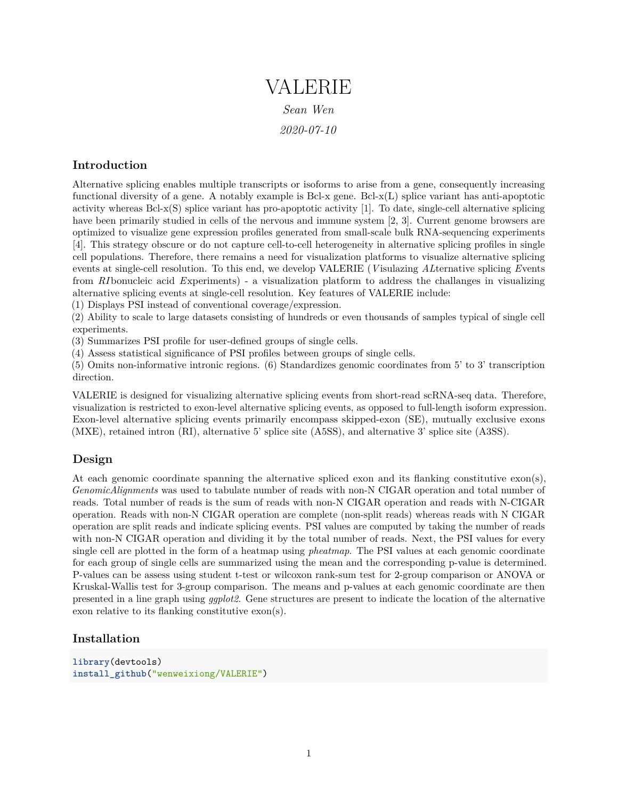# VALERIE *Sean Wen 2020-07-10*

## **Introduction**

Alternative splicing enables multiple transcripts or isoforms to arise from a gene, consequently increasing functional diversity of a gene. A notably example is Bcl-x gene. Bcl- $x(L)$  splice variant has anti-apoptotic activity whereas  $Bel-x(S)$  splice variant has pro-apoptotic activity [1]. To date, single-cell alternative splicing have been primarily studied in cells of the nervous and immune system [2, 3]. Current genome browsers are optimized to visualize gene expression profiles generated from small-scale bulk RNA-sequencing experiments [4]. This strategy obscure or do not capture cell-to-cell heterogeneity in alternative splicing profiles in single cell populations. Therefore, there remains a need for visualization platforms to visualize alternative splicing events at single-cell resolution. To this end, we develop VALERIE (*V* isulazing *AL*ternative splicing *E*vents from *RI* bonucleic acid *E*xperiments) - a visualization platform to address the challanges in visualizing alternative splicing events at single-cell resolution. Key features of VALERIE include:

(1) Displays PSI instead of conventional coverage/expression.

(2) Ability to scale to large datasets consisting of hundreds or even thousands of samples typical of single cell experiments.

(3) Summarizes PSI profile for user-defined groups of single cells.

(4) Assess statistical significance of PSI profiles between groups of single cells.

(5) Omits non-informative intronic regions. (6) Standardizes genomic coordinates from 5' to 3' transcription direction.

VALERIE is designed for visualizing alternative splicing events from short-read scRNA-seq data. Therefore, visualization is restricted to exon-level alternative splicing events, as opposed to full-length isoform expression. Exon-level alternative splicing events primarily encompass skipped-exon (SE), mutually exclusive exons (MXE), retained intron (RI), alternative 5' splice site (A5SS), and alternative 3' splice site (A3SS).

## **Design**

At each genomic coordinate spanning the alternative spliced exon and its flanking constitutive exon(s), *GenomicAlignments* was used to tabulate number of reads with non-N CIGAR operation and total number of reads. Total number of reads is the sum of reads with non-N CIGAR operation and reads with N-CIGAR operation. Reads with non-N CIGAR operation are complete (non-split reads) whereas reads with N CIGAR operation are split reads and indicate splicing events. PSI values are computed by taking the number of reads with non-N CIGAR operation and dividing it by the total number of reads. Next, the PSI values for every single cell are plotted in the form of a heatmap using *pheatmap*. The PSI values at each genomic coordinate for each group of single cells are summarized using the mean and the corresponding p-value is determined. P-values can be assess using student t-test or wilcoxon rank-sum test for 2-group comparison or ANOVA or Kruskal-Wallis test for 3-group comparison. The means and p-values at each genomic coordinate are then presented in a line graph using *ggplot2*. Gene structures are present to indicate the location of the alternative exon relative to its flanking constitutive exon(s).

## **Installation**

```
library(devtools)
install_github("wenweixiong/VALERIE")
```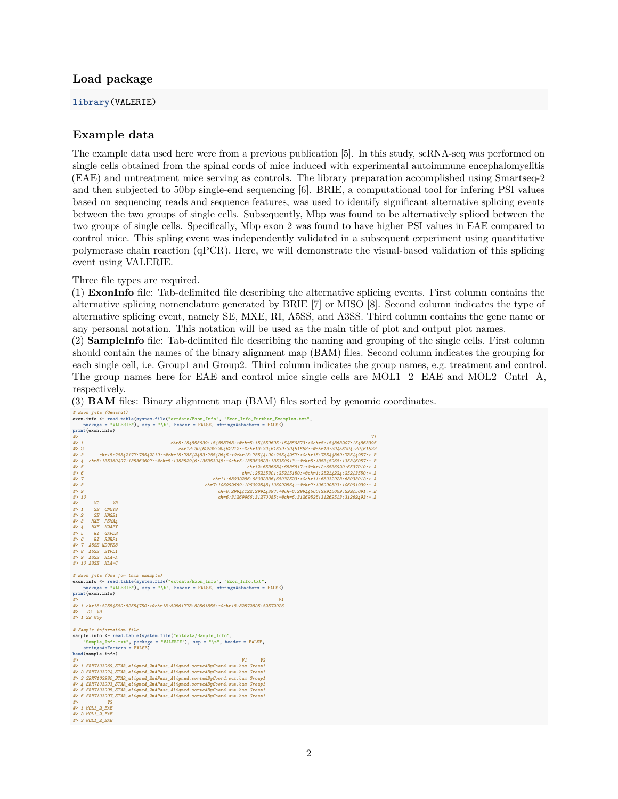#### **Load package**

#### **library**(VALERIE)

#### **Example data**

The example data used here were from a previous publication [5]. In this study, scRNA-seq was performed on single cells obtained from the spinal cords of mice induced with experimental autoimmune encephalomyelitis (EAE) and untreatment mice serving as controls. The library preparation accomplished using Smartseq-2 and then subjected to 50bp single-end sequencing [6]. BRIE, a computational tool for infering PSI values based on sequencing reads and sequence features, was used to identify significant alternative splicing events between the two groups of single cells. Subsequently, Mbp was found to be alternatively spliced between the two groups of single cells. Specifically, Mbp exon 2 was found to have higher PSI values in EAE compared to control mice. This spling event was independently validated in a subsequent experiment using quantitative polymerase chain reaction (qPCR). Here, we will demonstrate the visual-based validation of this splicing event using VALERIE.

Three file types are required.

(1) **ExonInfo** file: Tab-delimited file describing the alternative splicing events. First column contains the alternative splicing nomenclature generated by BRIE [7] or MISO [8]. Second column indicates the type of alternative splicing event, namely SE, MXE, RI, A5SS, and A3SS. Third column contains the gene name or any personal notation. This notation will be used as the main title of plot and output plot names.

(2) **SampleInfo** file: Tab-delimited file describing the naming and grouping of the single cells. First column should contain the names of the binary alignment map (BAM) files. Second column indicates the grouping for each single cell, i.e. Group1 and Group2. Third column indicates the group names, e.g. treatment and control. The group names here for EAE and control mice single cells are MOL1\_2\_EAE and MOL2\_Cntrl\_A, respectively.

(3) **BAM** files: Binary alignment map (BAM) files sorted by genomic coordinates.

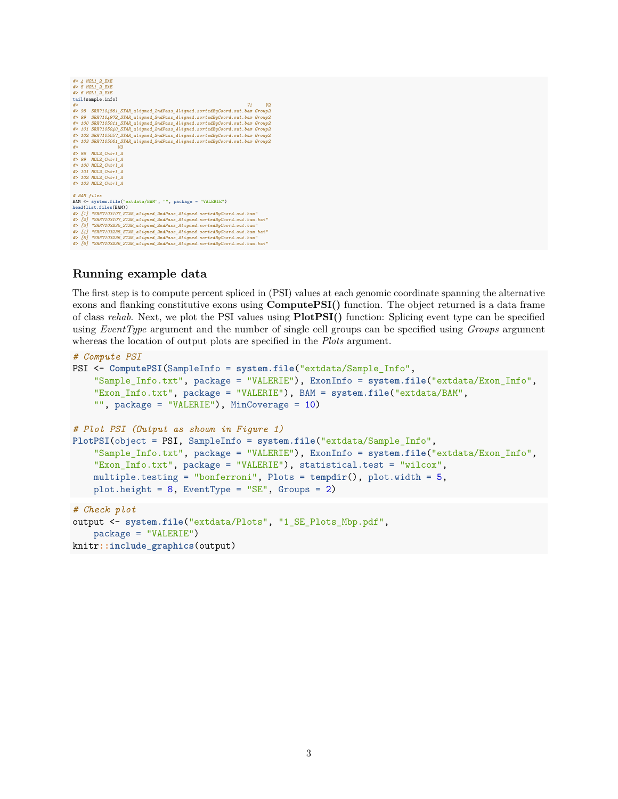```
#> 4 MOL1_2_EAE
 #> 5 MOL1_2_EAE
#> 6 MOL1_2_EAE
tail(sample.info)
 #><br>#> 98 SRR7104861_STAR_aligned_2ndPass_Aligned.sortedByCoord.out.bam Group2<br>#> 99 SRR7104972_STAR_aligned_2ndPass_Aligned.sortedByCoord.out.bam Group2<br>#> 100 SRR7105011_STAR_aligned_2ndPass_Aligned.sortedByCoord.out.bam
 #> 101 SRR7105040_STAR_aligned_2ndPass_Aligned.sortedByCoord.out.bam Group2<br>#> 102 SRR7105057_STAR_aligned_2ndPass_Aligned.sortedByCoord.out.bam Group2<br>#> 103 SRR7105061_STAR_aligned_2ndPass_Aligned.sortedByCoord.out.bam 
 #> V3
#> 98 MOL2_Cntrl_A
 #> 99 MOL2_Cntrl_A
#> 100 MOL2_Cntrl_A
#> 101 MOL2_Cntrl_A
#> 102 MOL2_Cntrl_A
#> 103 MOL2_Cntrl_A
# BAM files
              system.file("extdata/BAM", "", package = "VALERIE")head(list.files(BAM))
#> [1] "SRR7103107_STAR_aligned_2ndPass_Aligned.sortedByCoord.out.bam"
 #> [2] "SRR7103107_STAR_aligned_2ndPass_Aligned.sortedByCoord.out.bam.bai"<br>#> [3] "SRR7103335_STAR_aligned_2ndPass_Aligned.sortedByCoord.out.bam"<br>#> [4] "SRR7103235_STAR_aligned_2ndPass_Aligned.sortedByCoord.out.bam.bai"
 #> [5] "SRR7103236_STAR_aligned_2ndPass_Aligned.sortedByCoord.out.bam"
#> [6] "SRR7103236_STAR_aligned_2ndPass_Aligned.sortedByCoord.out.bam.bai"
```
### **Running example data**

The first step is to compute percent spliced in (PSI) values at each genomic coordinate spanning the alternative exons and flanking constitutive exons using **ComputePSI()** function. The object returned is a data frame of class *rehab*. Next, we plot the PSI values using **PlotPSI()** function: Splicing event type can be specified using *EventType* argument and the number of single cell groups can be specified using *Groups* argument whereas the location of output plots are specified in the *Plots* argument.

```
# Compute PSI
PSI <- ComputePSI(SampleInfo = system.file("extdata/Sample_Info",
    "Sample_Info.txt", package = "VALERIE"), ExonInfo = system.file("extdata/Exon_Info",
    "Exon_Info.txt", package = "VALERIE"), BAM = system.file("extdata/BAM",
    "", package = "VALERIE"), MinCoverage = 10)
# Plot PSI (Output as shown in Figure 1)
PlotPSI(object = PSI, SampleInfo = system.file("extdata/Sample_Info",
    "Sample_Info.txt", package = "VALERIE"), ExonInfo = system.file("extdata/Exon_Info",
    "Exon_Info.txt", package = "VALERIE"), statistical.test = "wilcox",
    multiple.testing = "bonferroni", Plots = tempdir(), plot.width = 5,
    plot.height = 8, EventType = "SE", Groups = 2)
# Check plot
output <- system.file("extdata/Plots", "1_SE_Plots_Mbp.pdf",
    package = "VALERIE")
knitr::include_graphics(output)
```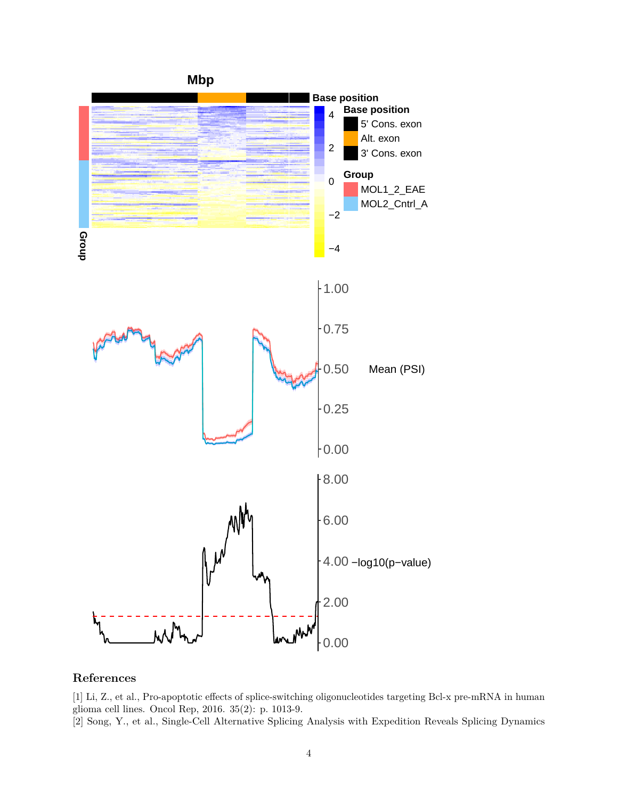

## **References**

[1] Li, Z., et al., Pro-apoptotic effects of splice-switching oligonucleotides targeting Bcl-x pre-mRNA in human glioma cell lines. Oncol Rep, 2016. 35(2): p. 1013-9.

[2] Song, Y., et al., Single-Cell Alternative Splicing Analysis with Expedition Reveals Splicing Dynamics